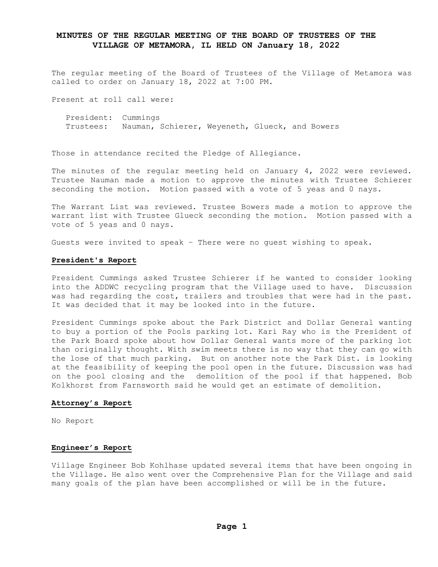# **MINUTES OF THE REGULAR MEETING OF THE BOARD OF TRUSTEES OF THE VILLAGE OF METAMORA, IL HELD ON January 18, 2022**

The regular meeting of the Board of Trustees of the Village of Metamora was called to order on January 18, 2022 at 7:00 PM.

Present at roll call were:

 President: Cummings Trustees: Nauman, Schierer, Weyeneth, Glueck, and Bowers

Those in attendance recited the Pledge of Allegiance.

The minutes of the regular meeting held on January 4, 2022 were reviewed. Trustee Nauman made a motion to approve the minutes with Trustee Schierer seconding the motion. Motion passed with a vote of 5 yeas and 0 nays.

The Warrant List was reviewed. Trustee Bowers made a motion to approve the warrant list with Trustee Glueck seconding the motion. Motion passed with a vote of 5 yeas and 0 nays.

Guests were invited to speak – There were no guest wishing to speak.

## **President's Report**

President Cummings asked Trustee Schierer if he wanted to consider looking into the ADDWC recycling program that the Village used to have. Discussion was had regarding the cost, trailers and troubles that were had in the past. It was decided that it may be looked into in the future.

President Cummings spoke about the Park District and Dollar General wanting to buy a portion of the Pools parking lot. Kari Ray who is the President of the Park Board spoke about how Dollar General wants more of the parking lot than originally thought. With swim meets there is no way that they can go with the lose of that much parking. But on another note the Park Dist. is looking at the feasibility of keeping the pool open in the future. Discussion was had on the pool closing and the demolition of the pool if that happened. Bob Kolkhorst from Farnsworth said he would get an estimate of demolition.

## **Attorney's Report**

No Report

## **Engineer's Report**

Village Engineer Bob Kohlhase updated several items that have been ongoing in the Village. He also went over the Comprehensive Plan for the Village and said many goals of the plan have been accomplished or will be in the future.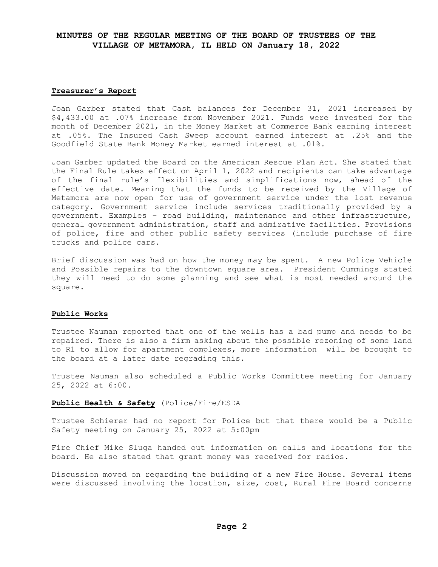# **MINUTES OF THE REGULAR MEETING OF THE BOARD OF TRUSTEES OF THE VILLAGE OF METAMORA, IL HELD ON January 18, 2022**

### **Treasurer's Report**

Joan Garber stated that Cash balances for December 31, 2021 increased by \$4,433.00 at .07% increase from November 2021. Funds were invested for the month of December 2021, in the Money Market at Commerce Bank earning interest at .05%. The Insured Cash Sweep account earned interest at .25% and the Goodfield State Bank Money Market earned interest at .01%.

Joan Garber updated the Board on the American Rescue Plan Act. She stated that the Final Rule takes effect on April 1, 2022 and recipients can take advantage of the final rule's flexibilities and simplifications now, ahead of the effective date. Meaning that the funds to be received by the Village of Metamora are now open for use of government service under the lost revenue category. Government service include services traditionally provided by a government. Examples – road building, maintenance and other infrastructure, general government administration, staff and admirative facilities. Provisions of police, fire and other public safety services (include purchase of fire trucks and police cars.

Brief discussion was had on how the money may be spent. A new Police Vehicle and Possible repairs to the downtown square area. President Cummings stated they will need to do some planning and see what is most needed around the square.

## **Public Works**

Trustee Nauman reported that one of the wells has a bad pump and needs to be repaired. There is also a firm asking about the possible rezoning of some land to R1 to allow for apartment complexes, more information will be brought to the board at a later date regrading this.

Trustee Nauman also scheduled a Public Works Committee meeting for January 25, 2022 at 6:00.

## **Public Health & Safety** (Police/Fire/ESDA

Trustee Schierer had no report for Police but that there would be a Public Safety meeting on January 25, 2022 at 5:00pm

Fire Chief Mike Sluga handed out information on calls and locations for the board. He also stated that grant money was received for radios.

Discussion moved on regarding the building of a new Fire House. Several items were discussed involving the location, size, cost, Rural Fire Board concerns